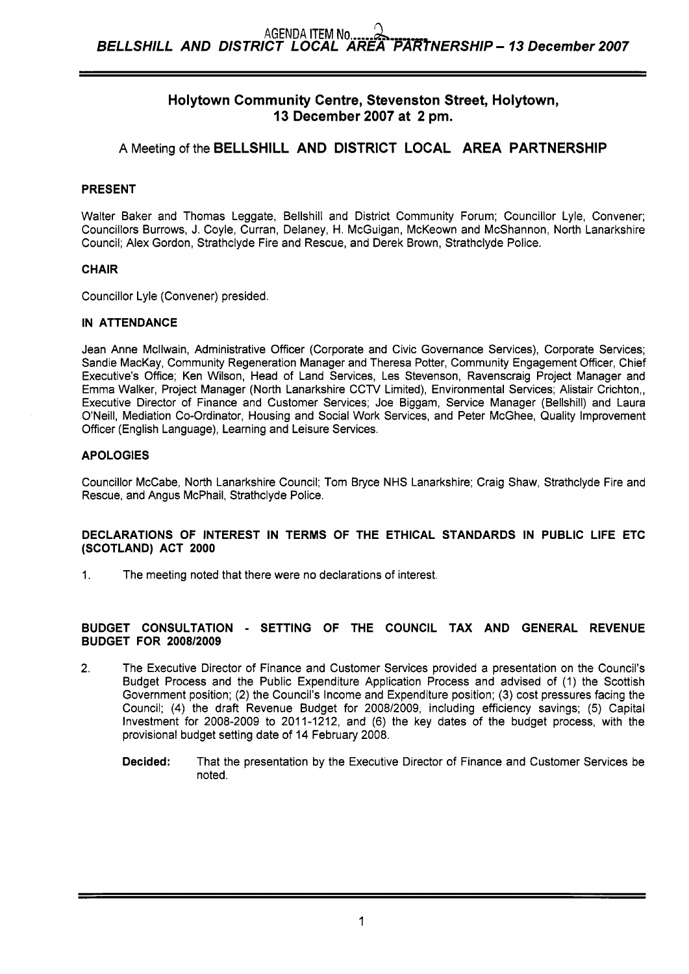# **Holytown Community Centre, Stevenston Street, Holytown, 13 December 2007 at 2 pm.**

# **A** Meeting of the **BELLSHILL AND DISTRICT LOCAL AREA PARTNERSHIP**

## **PRESENT**

Walter Baker and Thomas Leggate, Bellshill and District Community Forum; Councillor Lyle, Convener; Councillors Burrows, J. Coyle, Curran, Delaney, H. McGuigan, McKeown and McShannon, North Lanarkshire Council; Alex Gordon, Strathclyde Fire and Rescue, and Derek Brown, Strathclyde Police.

## **CHAIR**

Councillor Lyle (Convener) presided.

## **IN ATTENDANCE**

Jean Anne Mcllwain, Administrative Officer (Corporate and Civic Governance Services), Corporate Services; Sandie MacKay, Community Regeneration Manager and Theresa Potter, Community Engagement Officer, Chief Executive's Office; Ken Wilson, Head of Land Services, Les Stevenson, Ravenscraig Project Manager and Emma Walker, Project Manager (North Lanarkshire CCTV Limited), Environmental Services; Alistair Crichton,, Executive Director of Finance and Customer Services; Joe Biggam, Service Manager (Bellshill) and Laura O'Neill, Mediation Co-ordinator, Housing and Social Work Services, and Peter McGhee, Quality Improvement Officer (English Language), Learning and Leisure Services.

## **APOLOGIES**

Councillor McCabe, North Lanarkshire Council; Tom Bryce NHS Lanarkshire; Craig Shaw, Strathclyde Fire and Rescue, and Angus McPhail, Strathclyde Police.

## **DECLARATIONS OF INTEREST IN TERMS OF THE ETHICAL STANDARDS IN PUBLIC LIFE ETC (SCOTLAND) ACT 2000**

1. The meeting noted that there were no declarations of interest.

## **BUDGET CONSULTATION** - **SETTING OF THE COUNCIL TAX AND GENERAL REVENUE BUDGET FOR 2008/2009**

- 2. The Executive Director of Finance and Customer Services provided a presentation on the Council's Budget Process and the Public Expenditure Application Process and advised of (1) the Scottish Government position; (2) the Council's Income and Expenditure position; (3) cost pressures facing the Council; **(4)** the draft Revenue Budget for 2008/2009, including efficiency savings; (5) Capital Investment for 2008-2009 to 2011-1212, and (6) the key dates of the budget process, with the provisional budget setting date of 14 February 2008.
	- **Decided:** That the presentation by the Executive Director of Finance and Customer Services be noted.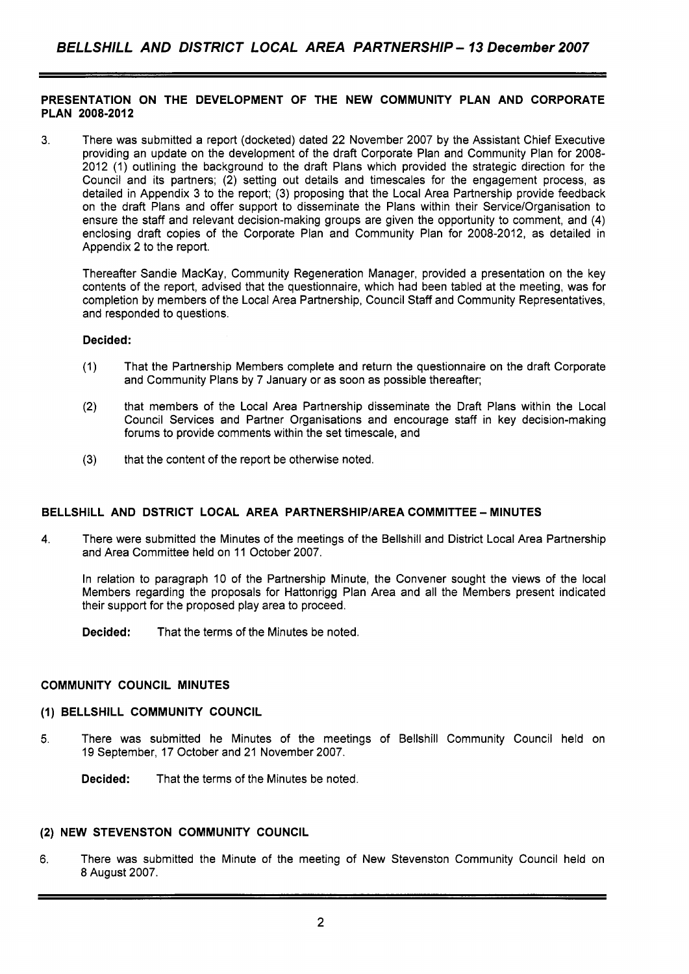# **PRESENTATION ON THE DEVELOPMENT OF THE NEW COMMUNITY PLAN AND CORPORATE PLAN 2008-2012**

**3.** There was submitted a report (docketed) dated 22 November 2007 by the Assistant Chief Executive providing an update on the development of the draft Corporate Plan and Community Plan for 2008- 2012 (1) outlining the background to the draft Plans which provided the strategic direction for the Council and its partners; (2) setting out details and timescales for the engagement process, as detailed in Appendix 3 to the report; (3) proposing that the Local Area Partnership provide feedback on the draft Plans and offer support to disseminate the Plans within their Service/Organisation to ensure the staff and relevant decision-making groups are given the opportunity to comment, and **(4)**  enclosing draft copies of the Corporate Plan and Community Plan for 2008-2012, as detailed in Appendix 2 to the report.

Thereafter Sandie MacKay, Community Regeneration Manager, provided a presentation on the key contents of the report, advised that the questionnaire, which had been tabled at the meeting, was for completion by members of the Local Area Partnership, Council Staff and Community Representatives, and responded to questions.

## **Decided:**

- (1) That the Partnership Members complete and return the questionnaire on the draft Corporate and Community Plans by 7 January or as soon as possible thereafter;
- (2) that members of the Local Area Partnership disseminate the Draft Plans within the Local Council Services and Partner Organisations and encourage staff in key decision-making forums to provide comments within the set timescale, and
- **(3)** that the content of the report be otherwise noted.

# **BELLSHILL AND DSTRICT LOCAL AREA PARTNERSHIP/AREA COMMITTEE - MINUTES**

**4.** There were submitted the Minutes of the meetings of the Bellshill and District Local Area Partnership and Area Committee held on 11 October 2007.

In relation to paragraph 10 of the Partnership Minute, the Convener sought the views of the local Members regarding the proposals for Hattonrigg Plan Area and all the Members present indicated their support for the proposed play area to proceed.

**Decided:** That the terms of the Minutes be noted.

### **COMMUNITY COUNCIL MINUTES**

### **(1) BELLSHILL COMMUNITY COUNCIL**

5. There was submitted he Minutes of the meetings of Bellshill Community Council held on 19 September, 17 October and 21 November 2007.

**Decided:** That the terms of the Minutes be noted.

## **(2) NEW STEVENSTON COMMUNITY COUNCIL**

**6.** There was submitted the Minute of the meeting of New Stevenston Community Council held on 8 August 2007.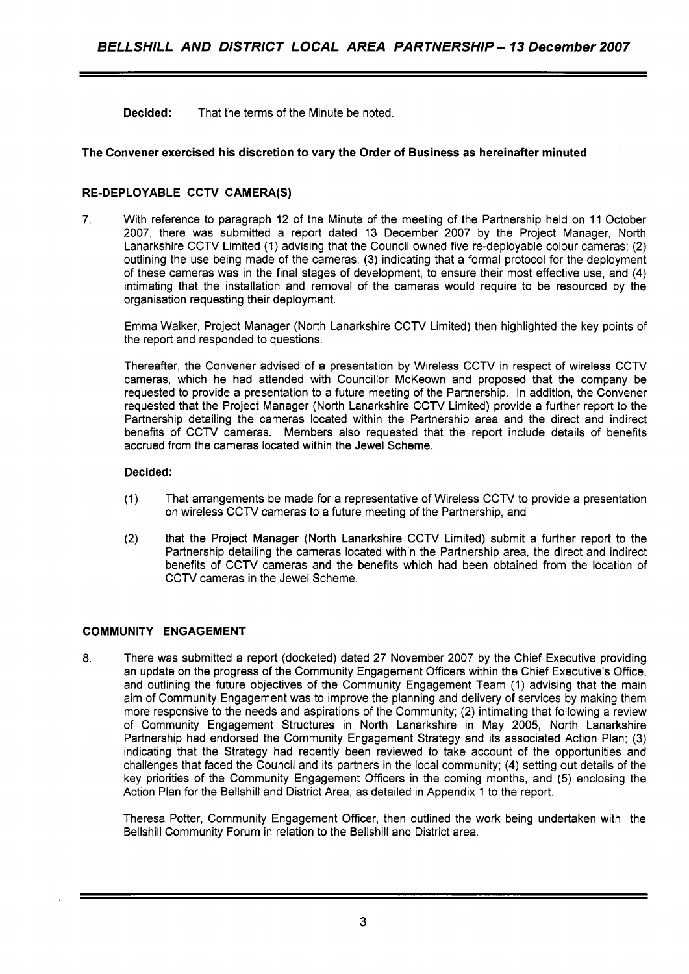**Decided:** That the terms of the Minute be noted.

## **The Convener exercised his discretion to vary the Order of Business as hereinafter minuted**

## **RE-DEPLOYABLE CCTV CAMERA(S)**

7. With reference to paragraph 12 of the Minute of the meeting of the Partnership held on 11 October 2007, there was submitted a report dated 13 December 2007 by the Project Manager, North Lanarkshire CCTV Limited (1) advising that the Council owned five re-deployable colour cameras; (2) outlining the use being made of the cameras; (3) indicating that a formal protocol for the deployment of these cameras was in the final stages of development, to ensure their most effective use, and **(4)**  intimating that the installation and removal of the cameras would require to be resourced by the organisation requesting their deployment.

Emma Walker, Project Manager (North Lanarkshire CCTV Limited) then highlighted the key points of the report and responded to questions.

Thereafter, the Convener advised of a presentation by Wireless CCTV in respect of wireless CCTV cameras, which he had attended with Councillor McKeown and proposed that the company be requested to provide a presentation to a future meeting of the Partnership. In addition, the Convener requested that the Project Manager (North Lanarkshire CCTV Limited) provide a further report to the Partnership detailing the cameras located within the Partnership area and the direct and indirect benefits of CCTV cameras. Members also requested that the report include details of benefits accrued from the cameras located within the Jewel Scheme.

## **Decided:**

- (1) That arrangements be made for a representative of Wireless CCTV to provide a presentation on wireless CCTV cameras to a future meeting of the Partnership, and
- (2) that the Project Manager (North Lanarkshire CCTV Limited) submit a further report to the Partnership detailing the cameras located within the Partnership area, the direct and indirect benefits of CCTV cameras and the benefits which had been obtained from the location of CCTV cameras in the Jewel Scheme.

# **COMMUNITY ENGAGEMENT**

**8.** There was submitted a report (docketed) dated 27 November 2007 by the Chief Executive providing an update on the progress of the Community Engagement Officers within the Chief Executive's Office, and outlining the future objectives of the Community Engagement Team (1) advising that the main aim of Community Engagement was to improve the planning and delivery of services by making them more responsive to the needs and aspirations of the Community; (2) intimating that following a review of Community Engagement Structures in North Lanarkshire in May 2005, North Lanarkshire Partnership had endorsed the Community Engagement Strategy and its associated Action Plan; (3) indicating that the Strategy had recently been reviewed to take account of the opportunities and challenges that faced the Council and its partners in the local community; **(4)** setting out details of the key priorities of the Community Engagement Officers in the coming months, and (5) enclosing the Action Plan for the Bellshill and District Area, as detailed in Appendix 1 to the report.

Theresa Potter, Community Engagement Officer, then outlined the work being undertaken with the Bellshill Community Forum in relation to the Bellshill and District area.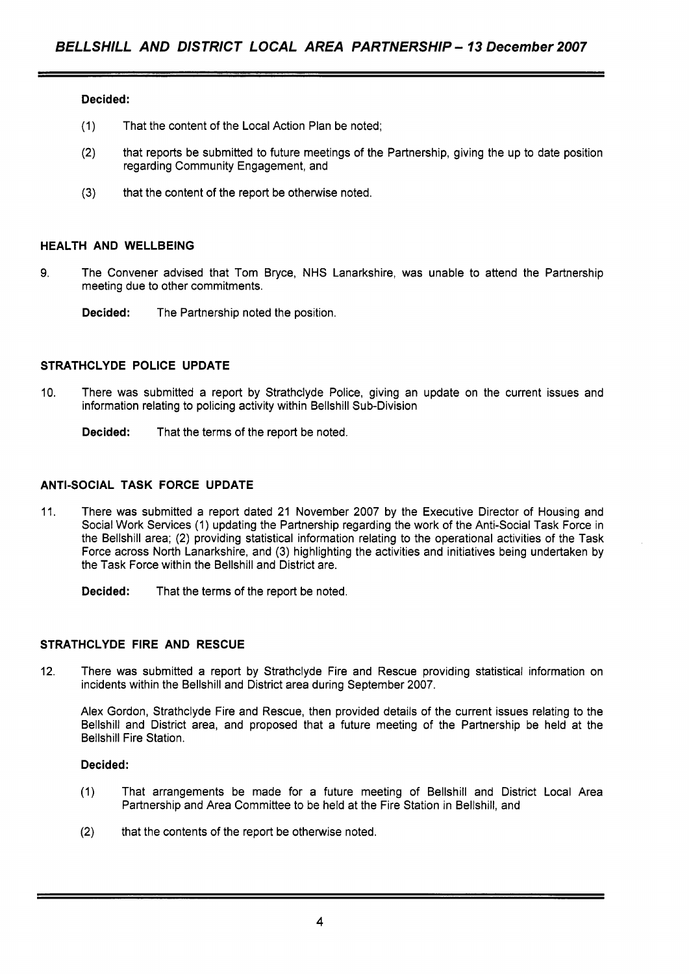## **Decided:**

- (1) That the content of the Local Action Plan be noted;
- (2) that reports be submitted to future meetings of the Partnership, giving the up to date position regarding Community Engagement, and
- **(3)** that the content of the report be otherwise noted.

## **HEALTH AND WELLBEING**

- **9.** The Convener advised that Tom Bryce, NHS Lanarkshire, was unable to attend the Partnership meeting due to other commitments.
	- **Decided:** The Partnership noted the position.

## **STRATHCLYDE POLICE UPDATE**

10. There was submitted a report by Strathclyde Police, giving an update on the current issues and information relating to policing activity within Bellshill Sub-Division

**Decided:** That the terms of the report be noted.

## **ANTI-SOCIAL TASK FORCE UPDATE**

11. There was submitted a report dated 21 November 2007 by the Executive Director of Housing and Social Work Services (1) updating the Partnership regarding the work of the Anti-Social Task Force in the Bellshill area; (2) providing statistical information relating to the operational activities of the Task Force across North Lanarkshire, and (3) highlighting the activities and initiatives being undertaken by the Task Force within the Bellshill and District are.

**Decided:** That the terms of the report be noted.

# **STRATHCLYDE FIRE AND RESCUE**

12. There was submitted a report by Strathclyde Fire and Rescue providing statistical information on incidents within the Bellshill and District area during September 2007.

Alex Gordon, Strathclyde Fire and Rescue, then provided details of the current issues relating to the Bellshill and District area, and proposed that a future meeting of the Partnership be held at the Bellshill Fire Station.

### **Decided:**

- (1) That arrangements be made for a future meeting of Bellshill and District Local Area Partnership and Area Committee to be held at the Fire Station in Bellshill, and
- (2) that the contents of the report be otherwise noted.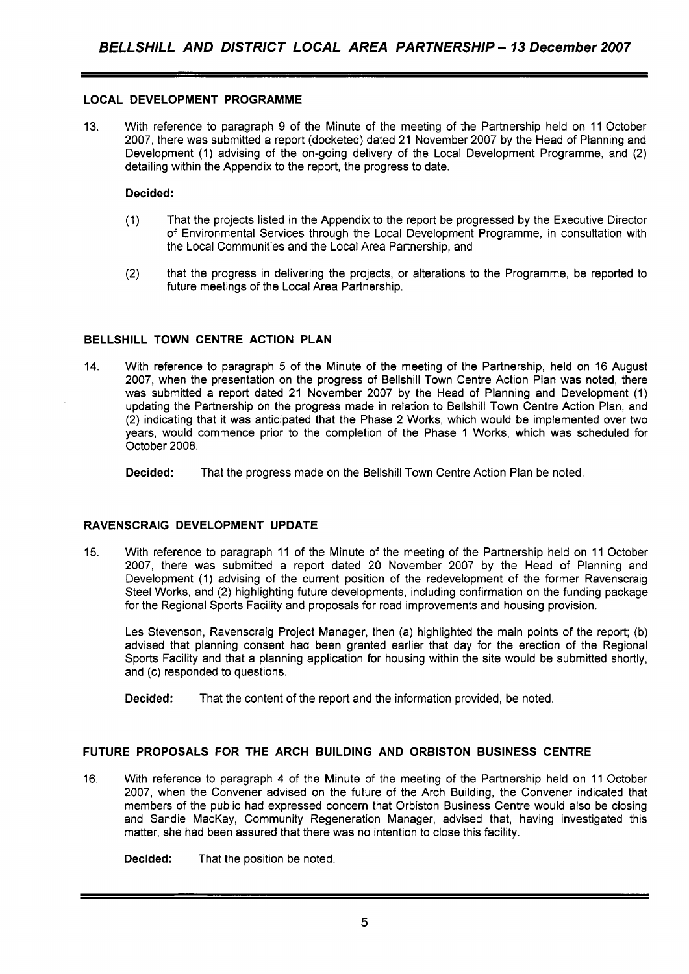# **LOCAL DEVELOPMENT PROGRAMME**

13. With reference to paragraph 9 of the Minute of the meeting of the Partnership held on 11 October 2007, there was submitted a report (docketed) dated 21 November 2007 by the Head of Planning and Development (1) advising of the on-going delivery of the Local Development Programme, and (2) detailing within the Appendix to the report, the progress to date.

## **Decided:**

- (1) That the projects listed in the Appendix to the report be progressed by the Executive Director of Environmental Services through the Local Development Programme, in consultation with the Local Communities and the Local Area Partnership, and
- (2) that the progress in delivering the projects, or alterations to the Programme, be reported to future meetings of the Local Area Partnership.

# **BELLSHILL TOWN CENTRE ACTION PLAN**

14. With reference to paragraph 5 of the Minute of the meeting of the Partnership, held on 16 August 2007, when the presentation on the progress of Bellshill Town Centre Action Plan was noted, there was submitted a report dated 21 November 2007 by the Head of Planning and Development (1) updating the Partnership on the progress made in relation to Bellshill Town Centre Action Plan, and (2) indicating that it was anticipated that the Phase 2 Works, which would be implemented over two years, would commence prior to the completion of the Phase 1 Works, which was scheduled for October 2008.

**Decided:** That the progress made on the Bellshill Town Centre Action Plan be noted.

# **RAVENSCRAIG DEVELOPMENT UPDATE**

15. With reference to paragraph 11 of the Minute of the meeting of the Partnership held on 11 October 2007, there was submitted a report dated 20 November 2007 by the Head of Planning and Development (1) advising of the current position of the redevelopment of the former Ravenscraig Steel Works, and (2) highlighting future developments, including confirmation on the funding package for the Regional Sports Facility and proposals for road improvements and housing provision.

Les Stevenson, Ravenscraig Project Manager, then (a) highlighted the main points of the report; (b) advised that planning consent had been granted earlier that day for the erection of the Regional Sports Facility and that a planning application for housing within the site would be submitted shortly, and (c) responded to questions.

**Decided:** That the content of the report and the information provided, be noted.

# **FUTURE PROPOSALS FOR THE ARCH BUILDING AND ORBISTON BUSINESS CENTRE**

16. With reference to paragraph **4** of the Minute of the meeting of the Partnership held on 11 October 2007, when the Convener advised on the future of the Arch Building, the Convener indicated that members of the public had expressed concern that Orbiston Business Centre would also be closing and Sandie MacKay, Community Regeneration Manager, advised that, having investigated this matter, she had been assured that there was no intention to close this facility.

**Decided:** That the position be noted.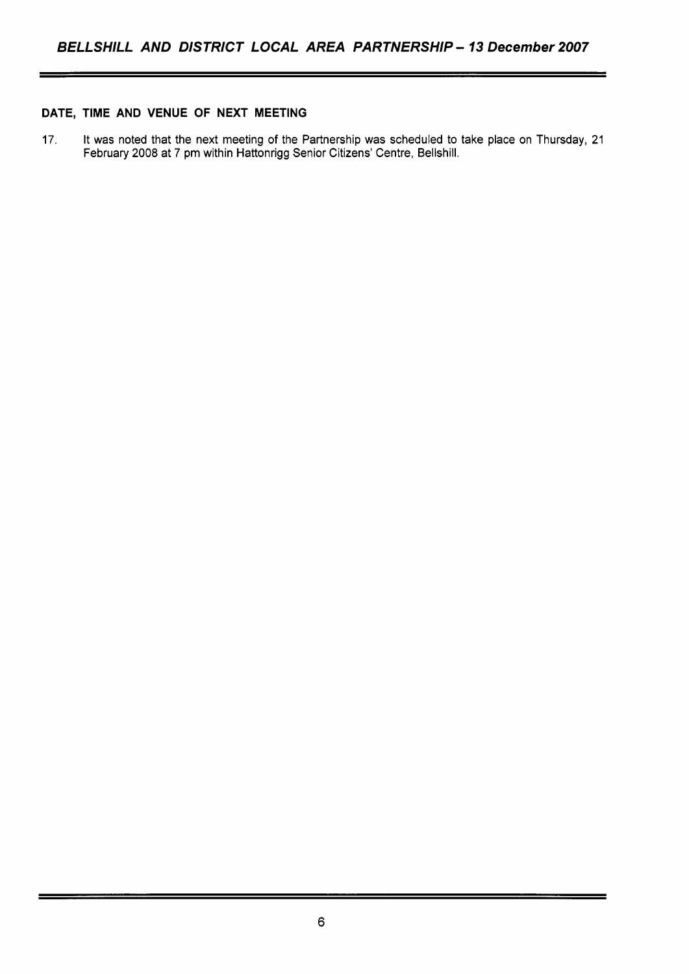# **DATE, TIME AND VENUE OF NEXT MEETING**

17. It was noted that the next meeting of the Partnership was scheduled to take place on Thursday, 21 February 2008 at 7 pm within Hattonrigg Senior Citizens' Centre, Bellshill.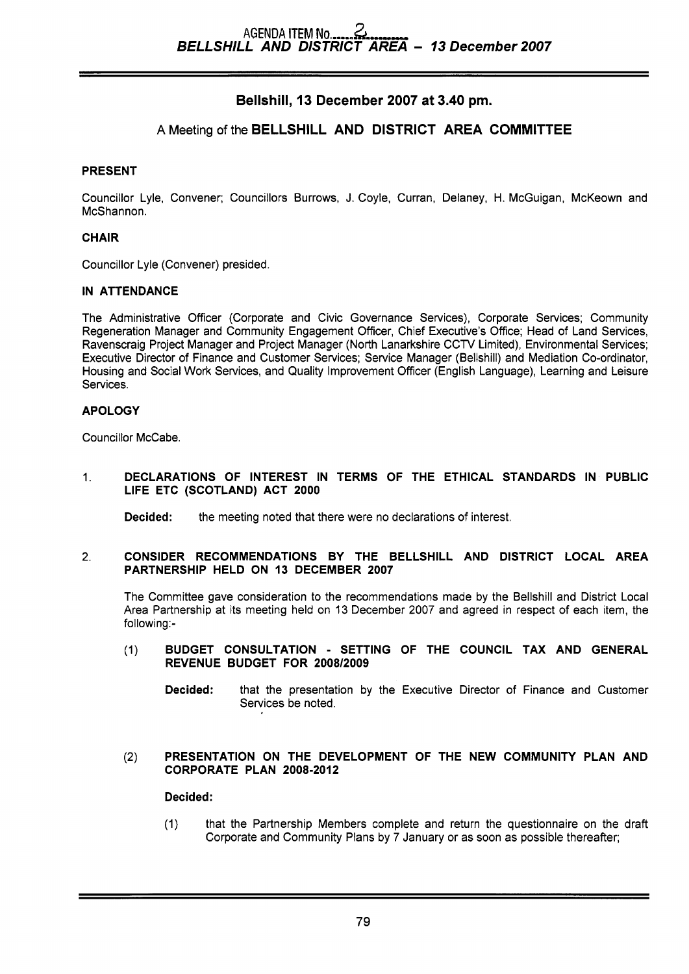# **Bellshill, 13 December 2007 at 3.40 pm.**

# **A** Meeting of the **BELLSHILL AND DISTRICT AREA COMMITTEE**

# **PRESENT**

Councillor Lyle, Convener; Councillors Burrows, J. Coyle, Curran, Delaney, H. McGuigan, McKeown and McShannon.

# **CHAIR**

Councillor Lyle (Convener) presided.

# **IN ATTENDANCE**

The Administrative Officer (Corporate and Civic Governance Services), Corporate Services; Community Regeneration Manager and Community Engagement Officer, Chief Executive's Office; Head of Land Services, Ravenscraig Project Manager and Project Manager (North Lanarkshire CCTV Limited), Environmental Services; Executive Director of Finance and Customer Services; Service Manager (Bellshill) and Mediation Co-ordinator, Housing and Social Work Services, and Quality Improvement Officer (English Language), Learning and Leisure Services.

# **APOLOGY**

Councillor McCabe.

1. **DECLARATIONS OF INTEREST IN TERMS OF THE ETHICAL STANDARDS IN PUBLIC LIFE ETC (SCOTLAND) ACT 2000** 

**Decided:** the meeting noted that there were no declarations of interest.

## 2. **CONSIDER RECOMMENDATIONS BY THE BELLSHILL AND DISTRICT LOCAL AREA PARTNERSHIP HELD ON 13 DECEMBER 2007**

The Committee gave consideration to the recommendations made by the Bellshill and District Local Area Partnership at its meeting held on 13 December 2007 and agreed in respect of each item, the following:-

- (1) **BUDGET CONSULTATION SETTING OF THE COUNCIL TAX AND GENERAL REVENUE BUDGET FOR 2008/2009** 
	- **Decided:** that the presentation by the Executive Director of Finance and Customer Services be noted.

## (2) **PRESENTATION ON THE DEVELOPMENT OF THE NEW COMMUNITY PLAN AND CORPORATE PLAN 2008-2012**

# **Decided:**

(1) that the Partnership Members complete and return the questionnaire on the draft Corporate and Community Plans by 7 January or as soon as possible thereafter;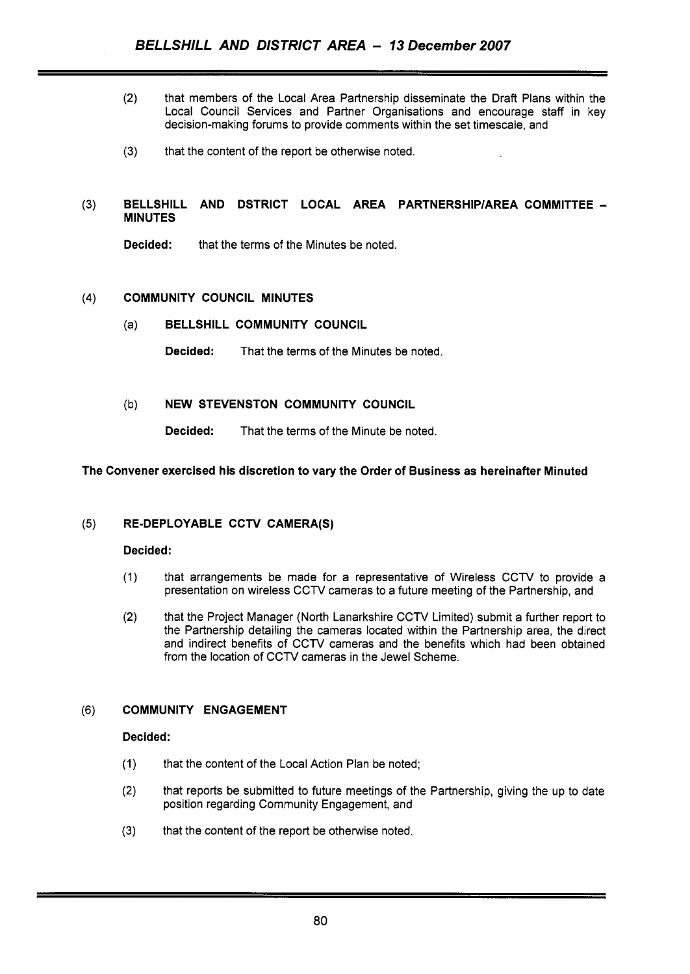- (2) that members of the Local Area Partnership disseminate the Draft Plans within the Local Council Services and Partner Organisations and encourage staff in key decision-making forums to provide comments within the set timescale, and
- **(3)** that the content of the report be otherwise noted

# **(3) BELLSHILL AND DSTRICT LOCAL AREA PARTNERSHlPlAREA COMMITTEE** - **MINUTES**

**Decided:** that the terms of the Minutes be noted.

## **(4) COMMUNITY COUNCIL MINUTES**

(a) **BELLSHILL COMMUNITY COUNCIL** 

**Decided:** That the terms of the Minutes be noted.

# (b) **NEW STEVENSTON COMMUNITY COUNCIL**

**Decided:** That the terms of the Minute be noted.

# **The Convener exercised his discretion to vary the Order of Business as hereinafter Minuted**

# **(5) RE-DEPLOYABLE CCTV CAMERA(S)**

# **Decided:**

- (1) that arrangements be made for a representative of Wireless CCTV to provide a presentation on wireless CCTV cameras to a future meeting of the Partnership, and
- (2) that the Project Manager (North Lanarkshire CCTV Limited) submit a further report to the Partnership detailing the cameras located within the Partnership area, the direct and indirect benefits of CCTV cameras and the benefits which had been obtained from the location of CCTV cameras in the Jewel Scheme.

# **(6) COMMUNITY ENGAGEMENT**

## **Decided:**

- (1) that the content of the Local Action Plan be noted;
- (2) that reports be submitted to future meetings of the Partnership, giving the up to date position regarding Community Engagement, and
- **(3)** that the content of the report be otherwise noted.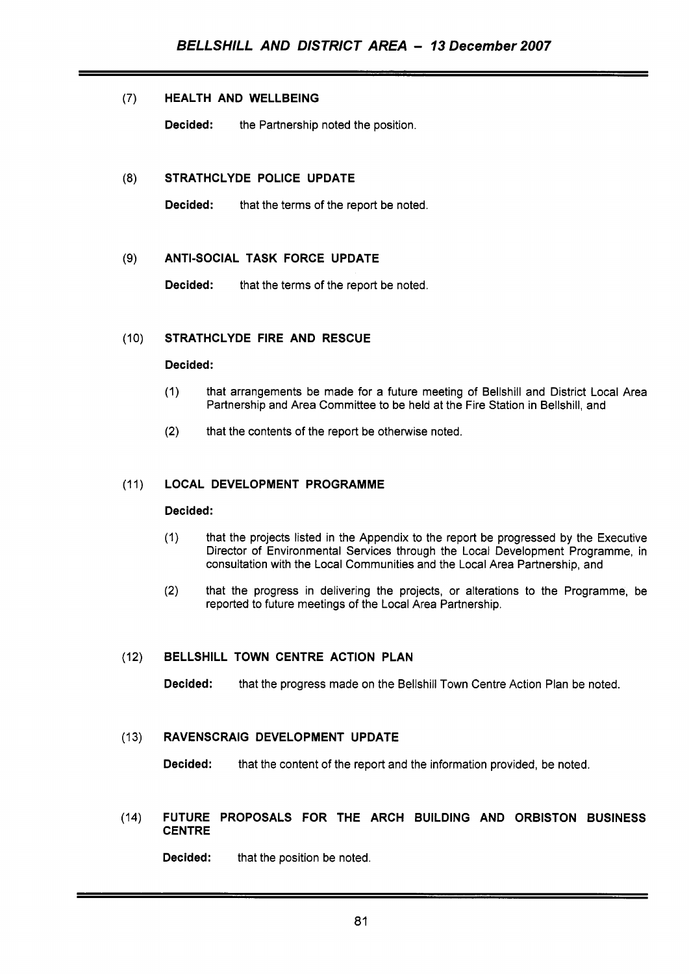# (7) **HEALTH AND WELLBEING**

**Decided:** the Partnership noted the position.

# **(8) STRATHCLYDE POLICE UPDATE**

**Decided:** that the terms of the report be noted.

### $(9)$ **ANTI-SOCIAL TASK FORCE UPDATE**

**Decided:** that the terms of the report be noted.

#### $(10)$ **STRATHCLYDE FIRE AND RESCUE**

## **Decided:**

- (1) that arrangements be made for a future meeting of Bellshill and District Local Area Partnership and Area Committee to be held at the Fire Station in Bellshill, and
- **(2)**  that the contents of the report be otherwise noted.

#### **LOCAL DEVELOPMENT PROGRAMME**   $(11)$

### **Decided:**

- (1) that the projects listed in the Appendix to the report be progressed by the Executive Director of Environmental Services through the Local Development Programme, in consultation with the Local Communities and the Local Area Partnership, and
- **(2)** that the progress in delivering the projects, or alterations to the Programme, be reported to future meetings of the Local Area Partnership.

#### $(12)$ **BELLSHILL TOWN CENTRE ACTION PLAN**

**Decided:** that the progress made on the Bellshill Town Centre Action Plan be noted.

#### **RAVENSCRAIG DEVELOPMENT UPDATE**   $(13)$

**Decided:** that the content of the report and the information provided, be noted.

### **FUTURE PROPOSALS FOR THE ARCH BUILDING AND ORBISTON BUSINESS**   $(14)$ **CENTRE**

**Decided:** that the position be noted.